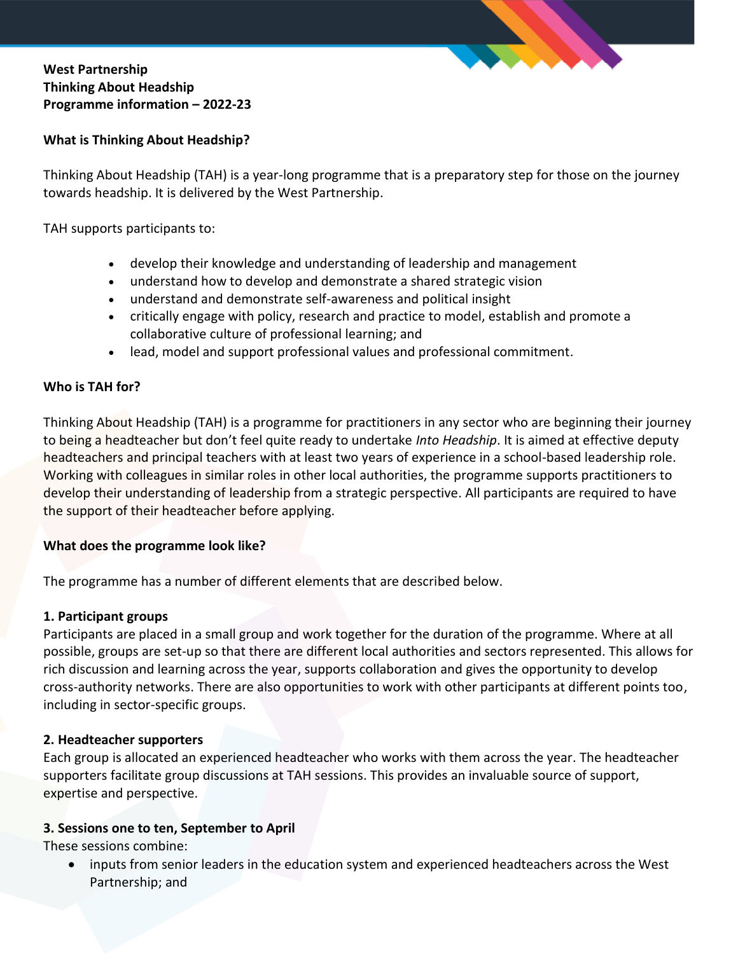

# **West Partnership Thinking About Headship Programme information – 2022-23**

#### **What is Thinking About Headship?**

Thinking About Headship (TAH) is a year-long programme that is a preparatory step for those on the journey towards headship. It is delivered by the West Partnership.

TAH supports participants to:

- develop their knowledge and understanding of leadership and management
- understand how to develop and demonstrate a shared strategic vision
- understand and demonstrate self-awareness and political insight
- critically engage with policy, research and practice to model, establish and promote a collaborative culture of professional learning; and
- lead, model and support professional values and professional commitment.

#### **Who is TAH for?**

Thinking About Headship (TAH) is a programme for practitioners in any sector who are beginning their journey to being a headteacher but don't feel quite ready to undertake *Into Headship*. It is aimed at effective deputy headteachers and principal teachers with at least two years of experience in a school-based leadership role. Working with colleagues in similar roles in other local authorities, the programme supports practitioners to develop their understanding of leadership from a strategic perspective. All participants are required to have the support of their headteacher before applying.

#### **What does the programme look like?**

The programme has a number of different elements that are described below.

## **1. Participant groups**

Participants are placed in a small group and work together for the duration of the programme. Where at all possible, groups are set-up so that there are different local authorities and sectors represented. This allows for rich discussion and learning across the year, supports collaboration and gives the opportunity to develop cross-authority networks. There are also opportunities to work with other participants at different points too, including in sector-specific groups.

## **2. Headteacher supporters**

Each group is allocated an experienced headteacher who works with them across the year. The headteacher supporters facilitate group discussions at TAH sessions. This provides an invaluable source of support, expertise and perspective.

## **3. Sessions one to ten, September to April**

These sessions combine:

 inputs from senior leaders in the education system and experienced headteachers across the West Partnership; and